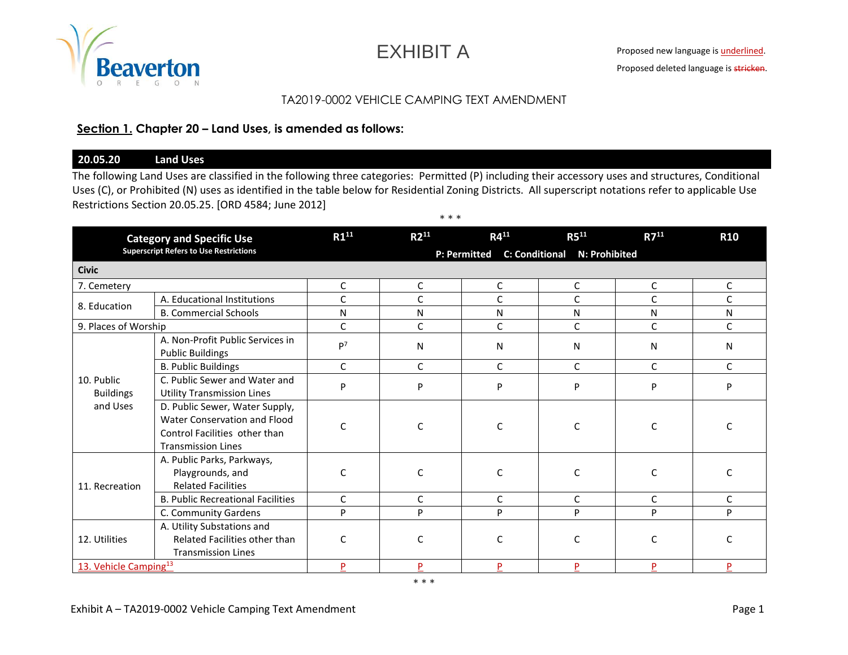

EXHIBIT A

# TA2019-0002 VEHICLE CAMPING TEXT AMENDMENT

### **Section 1. Chapter 20 – Land Uses, is amended as follows:**

### **20.05.20 Land Uses**

The following Land Uses are classified in the following three categories: Permitted (P) including their accessory uses and structures, Conditional Uses (C), or Prohibited (N) uses as identified in the table below for Residential Zoning Districts. All superscript notations refer to applicable Use Restrictions Section 20.05.25. [ORD 4584; June 2012]

| <b>Category and Specific Use</b><br><b>Superscript Refers to Use Restrictions</b> |                                                                                                                              | $R1^{11}$                                    | $R2^{11}$    | $R4^{11}$    | $R5^{11}$ | $R7^{11}$    | <b>R10</b>   |  |  |
|-----------------------------------------------------------------------------------|------------------------------------------------------------------------------------------------------------------------------|----------------------------------------------|--------------|--------------|-----------|--------------|--------------|--|--|
|                                                                                   |                                                                                                                              | P: Permitted<br>C: Conditional N: Prohibited |              |              |           |              |              |  |  |
| <b>Civic</b>                                                                      |                                                                                                                              |                                              |              |              |           |              |              |  |  |
| 7. Cemetery                                                                       |                                                                                                                              | C                                            | C            | С            | C         | C            | C            |  |  |
| 8. Education                                                                      | A. Educational Institutions                                                                                                  | C                                            | C            | C            | С         | C            | C            |  |  |
|                                                                                   | <b>B. Commercial Schools</b>                                                                                                 | N                                            | N            | N            | N         | N            | N            |  |  |
| 9. Places of Worship                                                              |                                                                                                                              | $\mathsf{C}$                                 | C            | C            | C         | $\mathsf{C}$ | $\mathsf{C}$ |  |  |
|                                                                                   | A. Non-Profit Public Services in<br><b>Public Buildings</b>                                                                  | P <sup>7</sup>                               | N            | N            | N         | N            | N            |  |  |
|                                                                                   | <b>B. Public Buildings</b>                                                                                                   | $\mathsf{C}$                                 | $\mathsf{C}$ | $\mathsf{C}$ | C         | $\mathsf{C}$ | $\mathsf{C}$ |  |  |
| 10. Public<br><b>Buildings</b><br>and Uses                                        | C. Public Sewer and Water and<br><b>Utility Transmission Lines</b>                                                           | P                                            | P            | P            | P         | P            | P            |  |  |
|                                                                                   | D. Public Sewer, Water Supply,<br>Water Conservation and Flood<br>Control Facilities other than<br><b>Transmission Lines</b> | C                                            | C            |              | C         | C            |              |  |  |
| 11. Recreation                                                                    | A. Public Parks, Parkways,<br>Playgrounds, and<br><b>Related Facilities</b>                                                  | $\mathsf{C}$                                 | C            | C            | C         | $\mathsf{C}$ | $\mathsf{C}$ |  |  |
|                                                                                   | <b>B. Public Recreational Facilities</b>                                                                                     | $\mathsf{C}$                                 | C            | $\mathsf{C}$ | C         | C            | $\mathsf{C}$ |  |  |
|                                                                                   | C. Community Gardens                                                                                                         | P                                            | P            | P            | P         | P            | P            |  |  |
| 12. Utilities                                                                     | A. Utility Substations and<br>Related Facilities other than<br><b>Transmission Lines</b>                                     | C                                            | C            | C            | C         | C            | C            |  |  |
| 13. Vehicle Camping <sup>13</sup>                                                 |                                                                                                                              | P                                            | P            | Þ            | P         | P            | P            |  |  |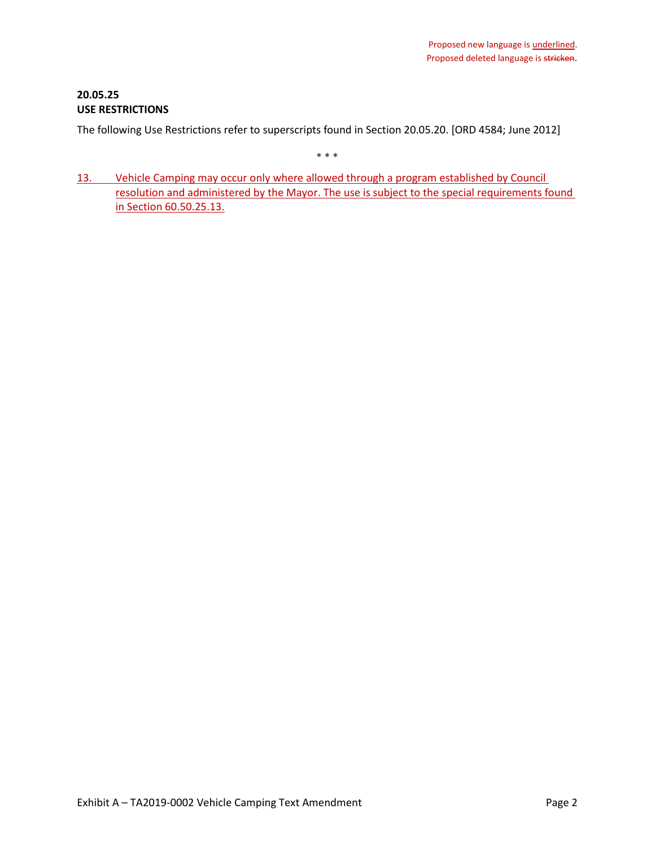# **20.05.25 USE RESTRICTIONS**

The following Use Restrictions refer to superscripts found in Section 20.05.20. [ORD 4584; June 2012]

\* \* \*

13. Vehicle Camping may occur only where allowed through a program established by Council resolution and administered by the Mayor. The use is subject to the special requirements found in Section 60.50.25.13.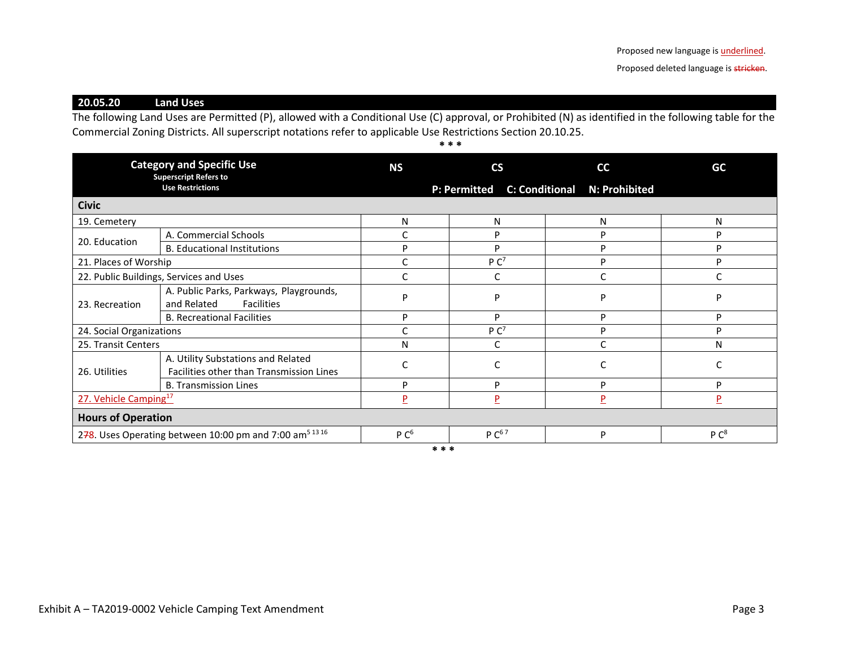Proposed deleted language is stricken.

**20.05.20 Land Uses**

The following Land Uses are Permitted (P), allowed with a Conditional Use (C) approval, or Prohibited (N) as identified in the following table for the Commercial Zoning Districts. All superscript notations refer to applicable Use Restrictions Section 20.10.25.

**\* \* \***

| <b>Category and Specific Use</b><br><b>Superscript Refers to</b>    |                                                                                | <b>NS</b>        | $\mathsf{CS}\phantom{0}$ | cc                           | GC               |
|---------------------------------------------------------------------|--------------------------------------------------------------------------------|------------------|--------------------------|------------------------------|------------------|
|                                                                     | <b>Use Restrictions</b>                                                        |                  | <b>P: Permitted</b>      | C: Conditional N: Prohibited |                  |
| <b>Civic</b>                                                        |                                                                                |                  |                          |                              |                  |
| 19. Cemetery                                                        |                                                                                | N                | N                        | N                            | N                |
| 20. Education                                                       | A. Commercial Schools                                                          |                  | D                        | P                            | D                |
|                                                                     | <b>B. Educational Institutions</b>                                             | D                | D                        | P                            | D                |
| 21. Places of Worship                                               |                                                                                |                  | P C <sup>7</sup>         | P                            | D                |
| 22. Public Buildings, Services and Uses                             |                                                                                |                  |                          | C                            |                  |
| 23. Recreation                                                      | A. Public Parks, Parkways, Playgrounds,<br>and Related<br><b>Facilities</b>    | D                | D                        | D                            | D                |
|                                                                     | <b>B. Recreational Facilities</b>                                              | P                | P                        | P                            | Þ                |
| 24. Social Organizations                                            |                                                                                |                  | P C <sup>7</sup>         | P                            | D                |
| 25. Transit Centers                                                 |                                                                                | Ν                |                          | Ċ                            | N                |
| 26. Utilities                                                       | A. Utility Substations and Related<br>Facilities other than Transmission Lines |                  |                          | C                            |                  |
|                                                                     | <b>B. Transmission Lines</b>                                                   | Þ                | D                        | P                            | D                |
| 27. Vehicle Camping <sup>17</sup>                                   |                                                                                | P                | P                        | $\overline{P}$               | P                |
| <b>Hours of Operation</b>                                           |                                                                                |                  |                          |                              |                  |
| 278. Uses Operating between 10:00 pm and 7:00 am <sup>5 13 16</sup> |                                                                                | P C <sup>6</sup> | $P C^{67}$               | P                            | P C <sup>8</sup> |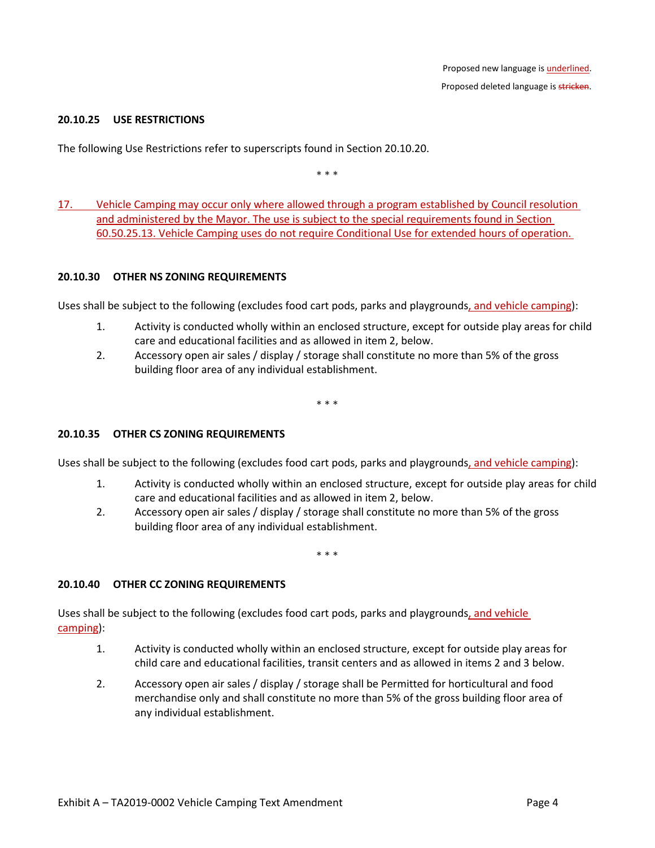#### **20.10.25 USE RESTRICTIONS**

The following Use Restrictions refer to superscripts found in Section 20.10.20.

\* \* \*

17. Vehicle Camping may occur only where allowed through a program established by Council resolution and administered by the Mayor. The use is subject to the special requirements found in Section 60.50.25.13. Vehicle Camping uses do not require Conditional Use for extended hours of operation.

#### **20.10.30 OTHER NS ZONING REQUIREMENTS**

Uses shall be subject to the following (excludes food cart pods, parks and playgrounds, and vehicle camping):

- 1. Activity is conducted wholly within an enclosed structure, except for outside play areas for child care and educational facilities and as allowed in item 2, below.
- 2. Accessory open air sales / display / storage shall constitute no more than 5% of the gross building floor area of any individual establishment.

\* \* \*

### **20.10.35 OTHER CS ZONING REQUIREMENTS**

Uses shall be subject to the following (excludes food cart pods, parks and playgrounds, and vehicle camping):

- 1. Activity is conducted wholly within an enclosed structure, except for outside play areas for child care and educational facilities and as allowed in item 2, below.
- 2. Accessory open air sales / display / storage shall constitute no more than 5% of the gross building floor area of any individual establishment.

\* \* \*

#### **20.10.40 OTHER CC ZONING REQUIREMENTS**

Uses shall be subject to the following (excludes food cart pods, parks and playgrounds, and vehicle camping):

- 1. Activity is conducted wholly within an enclosed structure, except for outside play areas for child care and educational facilities, transit centers and as allowed in items 2 and 3 below.
- 2. Accessory open air sales / display / storage shall be Permitted for horticultural and food merchandise only and shall constitute no more than 5% of the gross building floor area of any individual establishment.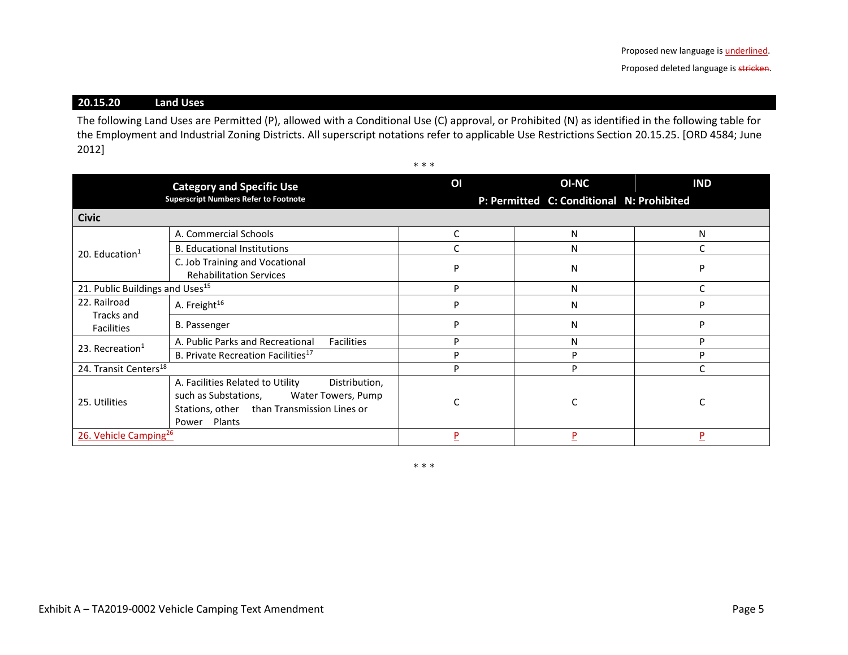# **20.15.20 Land Uses**

The following Land Uses are Permitted (P), allowed with a Conditional Use (C) approval, or Prohibited (N) as identified in the following table for the Employment and Industrial Zoning Districts. All superscript notations refer to applicable Use Restrictions Section 20.15.25. [ORD 4584; June 2012]

\* \* \*

|                                             | <b>Category and Specific Use</b><br><b>Superscript Numbers Refer to Footnote</b>                                                                                 | OI | <b>OI-NC</b><br>P: Permitted C: Conditional N: Prohibited | <b>IND</b> |
|---------------------------------------------|------------------------------------------------------------------------------------------------------------------------------------------------------------------|----|-----------------------------------------------------------|------------|
| <b>Civic</b>                                |                                                                                                                                                                  |    |                                                           |            |
|                                             | A. Commercial Schools                                                                                                                                            | C  | N                                                         | N          |
| 20. Education $1$                           | <b>B. Educational Institutions</b>                                                                                                                               |    | N                                                         |            |
|                                             | C. Job Training and Vocational<br><b>Rehabilitation Services</b>                                                                                                 | P  | N                                                         | D          |
| 21. Public Buildings and Uses <sup>15</sup> |                                                                                                                                                                  | P  | N                                                         |            |
| 22. Railroad<br>Tracks and                  | A. Freight <sup>16</sup>                                                                                                                                         | P  | N                                                         | D          |
| <b>Facilities</b>                           | <b>B.</b> Passenger                                                                                                                                              | р  | N                                                         | D          |
| 23. Recreation $1$                          | A. Public Parks and Recreational<br><b>Facilities</b>                                                                                                            | D  | N                                                         | D          |
|                                             | B. Private Recreation Facilities <sup>17</sup>                                                                                                                   | P  | D                                                         | P          |
| 24. Transit Centers <sup>18</sup>           |                                                                                                                                                                  | p  | P                                                         |            |
| 25. Utilities                               | A. Facilities Related to Utility<br>Distribution,<br>such as Substations,<br>Water Towers, Pump<br>Stations, other than Transmission Lines or<br>Plants<br>Power |    |                                                           |            |
| 26. Vehicle Camping <sup>26</sup>           |                                                                                                                                                                  | D  | P                                                         | Þ          |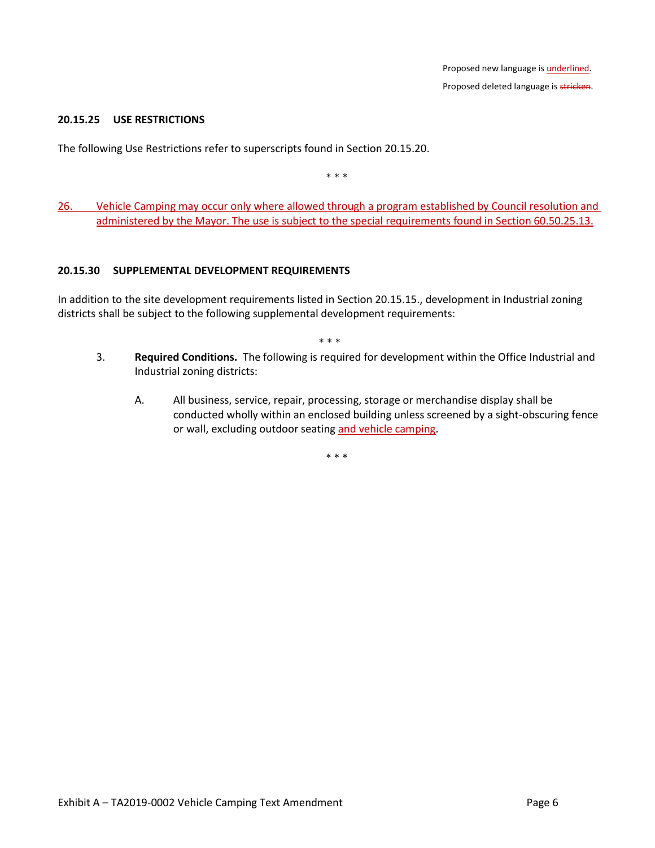### **20.15.25 USE RESTRICTIONS**

The following Use Restrictions refer to superscripts found in Section 20.15.20.

\* \* \*

26. Vehicle Camping may occur only where allowed through a program established by Council resolution and administered by the Mayor. The use is subject to the special requirements found in Section 60.50.25.13.

#### **20.15.30 SUPPLEMENTAL DEVELOPMENT REQUIREMENTS**

In addition to the site development requirements listed in Section 20.15.15., development in Industrial zoning districts shall be subject to the following supplemental development requirements:

\* \* \*

- 3. **Required Conditions.** The following is required for development within the Office Industrial and Industrial zoning districts:
	- A. All business, service, repair, processing, storage or merchandise display shall be conducted wholly within an enclosed building unless screened by a sight-obscuring fence or wall, excluding outdoor seating and vehicle camping.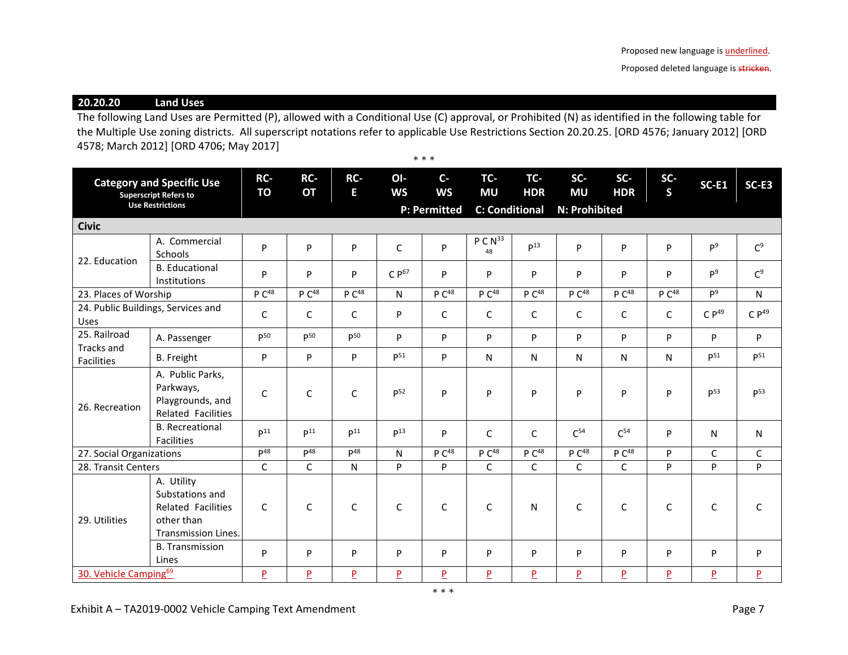Proposed deleted language is stricken.

**20.20.20 Land Uses**

The following Land Uses are Permitted (P), allowed with a Conditional Use (C) approval, or Prohibited (N) as identified in the following table for the Multiple Use zoning districts. All superscript notations refer to applicable Use Restrictions Section 20.20.25. [ORD 4576; January 2012] [ORD 4578; March 2012] [ORD 4706; May 2017] \* \* \*

| <b>Category and Specific Use</b><br><b>Superscript Refers to</b> |                                                                                                 | RC-<br><b>TO</b>  | RC-<br><b>OT</b>  | RC-<br>E.         | OI-<br><b>WS</b>    | $C -$<br><b>WS</b> | TC-<br><b>MU</b>        | TC-<br><b>HDR</b> | SC-<br><b>MU</b>  | $SC-$<br><b>HDR</b> | SC-<br>$\mathsf{s}$     | <b>SC-E1</b>     | SC-E3            |
|------------------------------------------------------------------|-------------------------------------------------------------------------------------------------|-------------------|-------------------|-------------------|---------------------|--------------------|-------------------------|-------------------|-------------------|---------------------|-------------------------|------------------|------------------|
| <b>Use Restrictions</b>                                          |                                                                                                 |                   |                   |                   | <b>P: Permitted</b> |                    | <b>C: Conditional</b>   |                   | N: Prohibited     |                     |                         |                  |                  |
| <b>Civic</b>                                                     |                                                                                                 |                   |                   |                   |                     |                    |                         |                   |                   |                     |                         |                  |                  |
| 22. Education                                                    | A. Commercial<br>Schools                                                                        | P                 | P                 | P                 | $\mathsf{C}$        | P                  | PCN <sup>33</sup><br>48 | P <sup>13</sup>   | P                 | P                   | P                       | P <sup>9</sup>   | C <sup>9</sup>   |
|                                                                  | <b>B.</b> Educational<br>Institutions                                                           | P                 | P                 | P                 | $C P^{67}$          | P                  | P                       | P                 | P                 | P                   | P                       | P <sup>9</sup>   | C <sup>9</sup>   |
| 23. Places of Worship                                            |                                                                                                 | P C <sup>48</sup> | P C <sup>48</sup> | P C <sup>48</sup> | N                   | P C <sup>48</sup>  | P C <sup>48</sup>       | P C <sup>48</sup> | P C <sup>48</sup> | P C <sup>48</sup>   | P C <sup>48</sup>       | P <sup>9</sup>   | N                |
| 24. Public Buildings, Services and<br>Uses                       |                                                                                                 | C                 | C                 | C                 | P                   | C                  | C                       | C                 | C                 | C                   | C                       | CP <sup>49</sup> | CP <sup>49</sup> |
| 25. Railroad<br>Tracks and<br><b>Facilities</b>                  | A. Passenger                                                                                    | $D^{50}$          | D <sub>50</sub>   | D <sub>50</sub>   | P                   | P                  | P                       | P                 | P                 | P                   | P                       | P                | P                |
|                                                                  | <b>B.</b> Freight                                                                               | P                 | P                 | P                 | $P^{51}$            | P                  | N                       | N                 | N                 | N                   | N                       | $P^{51}$         | $P^{51}$         |
| 26. Recreation                                                   | A. Public Parks,<br>Parkways,<br>Playgrounds, and<br><b>Related Facilities</b>                  | $\mathsf{C}$      | C                 | $\mathsf{C}$      | P <sup>52</sup>     | P                  | P                       | P                 | P                 | P                   | P                       | P <sup>53</sup>  | p <sub>53</sub>  |
|                                                                  | <b>B.</b> Recreational<br><b>Facilities</b>                                                     | D <sup>11</sup>   | D <sup>11</sup>   | D <sup>11</sup>   | P <sup>13</sup>     | P                  | C                       | $\mathsf{C}$      | C <sup>54</sup>   | C <sup>54</sup>     | P                       | N                | N                |
| 27. Social Organizations                                         |                                                                                                 | $p^{48}$          | $\mathsf{D}^{48}$ | $\mathsf{D}^{48}$ | N                   | P C <sup>48</sup>  | P C <sup>48</sup>       | P C <sup>48</sup> | P C <sup>48</sup> | P C <sup>48</sup>   | P                       | C                | C                |
| 28. Transit Centers                                              |                                                                                                 | $\mathsf{C}$      | C                 | N                 | $\mathsf{P}$        | P                  | $\mathsf{C}$            | $\mathsf{C}$      | C                 | $\mathsf{C}$        | <b>P</b>                | P                | P                |
| 29. Utilities                                                    | A. Utility<br>Substations and<br>Related Facilities<br>other than<br><b>Transmission Lines.</b> | $\mathsf{C}$      | $\mathsf{C}$      | $\mathsf{C}$      | $\mathsf{C}$        | C                  | $\mathsf{C}$            | N                 | $\mathsf C$       | $\mathsf{C}$        | $\mathsf{C}$            | $\mathsf C$      | C                |
|                                                                  | <b>B.</b> Transmission<br>Lines                                                                 | P                 | P                 | P                 | P                   | P                  | P                       | P                 | P                 | P                   | P                       | P                | P                |
| 30. Vehicle Camping <sup>69</sup>                                |                                                                                                 | $\overline{P}$    | P                 | $\overline{P}$    | $\overline{P}$      | $\overline{P}$     | $\overline{P}$          | $\overline{P}$    | $\overline{P}$    | $\overline{P}$      | $\overline{\mathsf{P}}$ | $\overline{P}$   | $\overline{P}$   |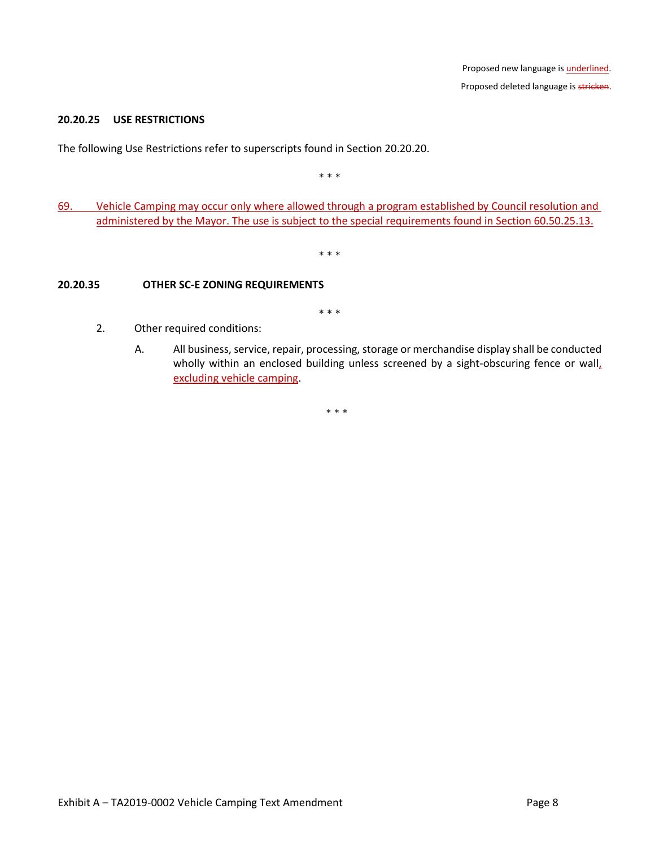### **20.20.25 USE RESTRICTIONS**

The following Use Restrictions refer to superscripts found in Section 20.20.20.

\* \* \*

69. Vehicle Camping may occur only where allowed through a program established by Council resolution and administered by the Mayor. The use is subject to the special requirements found in Section 60.50.25.13.

\* \* \*

### **20.20.35 OTHER SC-E ZONING REQUIREMENTS**

\* \* \*

- 2. Other required conditions:
	- A. All business, service, repair, processing, storage or merchandise display shall be conducted wholly within an enclosed building unless screened by a sight-obscuring fence or wall, excluding vehicle camping.